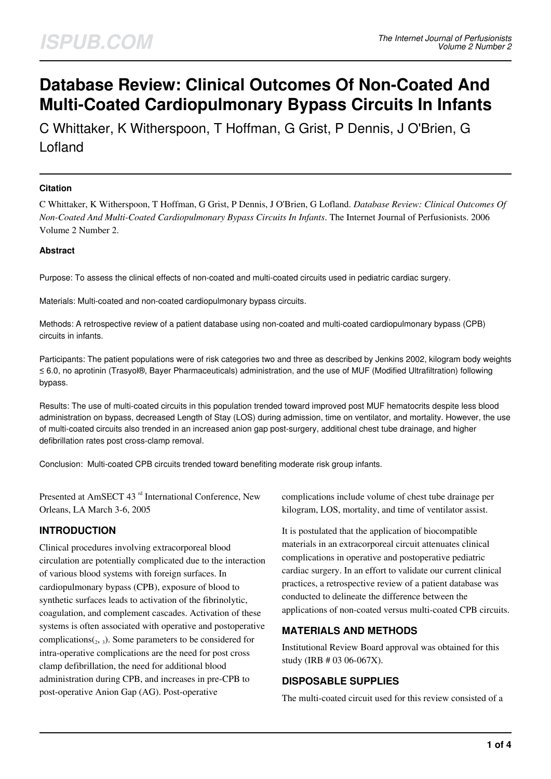# **Database Review: Clinical Outcomes Of Non-Coated And Multi-Coated Cardiopulmonary Bypass Circuits In Infants**

C Whittaker, K Witherspoon, T Hoffman, G Grist, P Dennis, J O'Brien, G Lofland

### **Citation**

C Whittaker, K Witherspoon, T Hoffman, G Grist, P Dennis, J O'Brien, G Lofland. *Database Review: Clinical Outcomes Of Non-Coated And Multi-Coated Cardiopulmonary Bypass Circuits In Infants*. The Internet Journal of Perfusionists. 2006 Volume 2 Number 2.

#### **Abstract**

Purpose: To assess the clinical effects of non-coated and multi-coated circuits used in pediatric cardiac surgery.

Materials: Multi-coated and non-coated cardiopulmonary bypass circuits.

Methods: A retrospective review of a patient database using non-coated and multi-coated cardiopulmonary bypass (CPB) circuits in infants.

Participants: The patient populations were of risk categories two and three as described by Jenkins 2002, kilogram body weights ≤ 6.0, no aprotinin (Trasyol®, Bayer Pharmaceuticals) administration, and the use of MUF (Modified Ultrafiltration) following bypass.

Results: The use of multi-coated circuits in this population trended toward improved post MUF hematocrits despite less blood administration on bypass, decreased Length of Stay (LOS) during admission, time on ventilator, and mortality. However, the use of multi-coated circuits also trended in an increased anion gap post-surgery, additional chest tube drainage, and higher defibrillation rates post cross-clamp removal.

Conclusion: Multi-coated CPB circuits trended toward benefiting moderate risk group infants.

Presented at AmSECT 43<sup>rd</sup> International Conference, New Orleans, LA March 3-6, 2005

# **INTRODUCTION**

Clinical procedures involving extracorporeal blood circulation are potentially complicated due to the interaction of various blood systems with foreign surfaces. In cardiopulmonary bypass (CPB), exposure of blood to synthetic surfaces leads to activation of the fibrinolytic, coagulation, and complement cascades. Activation of these systems is often associated with operative and postoperative complications $\binom{1}{2}$ ,  $\binom{1}{3}$ . Some parameters to be considered for intra-operative complications are the need for post cross clamp defibrillation, the need for additional blood administration during CPB, and increases in pre-CPB to post-operative Anion Gap (AG). Post-operative

complications include volume of chest tube drainage per kilogram, LOS, mortality, and time of ventilator assist.

It is postulated that the application of biocompatible materials in an extracorporeal circuit attenuates clinical complications in operative and postoperative pediatric cardiac surgery. In an effort to validate our current clinical practices, a retrospective review of a patient database was conducted to delineate the difference between the applications of non-coated versus multi-coated CPB circuits.

## **MATERIALS AND METHODS**

Institutional Review Board approval was obtained for this study (IRB # 03 06-067X).

## **DISPOSABLE SUPPLIES**

The multi-coated circuit used for this review consisted of a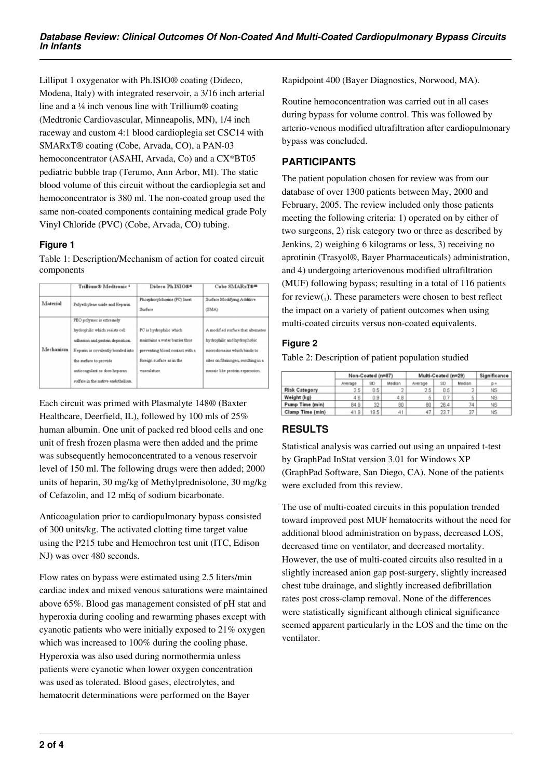Lilliput 1 oxygenator with Ph.ISIO® coating (Dideco, Modena, Italy) with integrated reservoir, a 3/16 inch arterial line and a ¼ inch venous line with Trillium® coating (Medtronic Cardiovascular, Minneapolis, MN), 1/4 inch raceway and custom 4:1 blood cardioplegia set CSC14 with SMARxT® coating (Cobe, Arvada, CO), a PAN-03 hemoconcentrator (ASAHI, Arvada, Co) and a CX\*BT05 pediatric bubble trap (Terumo, Ann Arbor, MI). The static blood volume of this circuit without the cardioplegia set and hemoconcentrator is 380 ml. The non-coated group used the same non-coated components containing medical grade Poly Vinyl Chloride (PVC) (Cobe, Arvada, CO) tubing.

#### **Figure 1**

Table 1: Description/Mechanism of action for coated circuit components

|           | Trillium® Medtronic 1                                                                                                                                                                                                               | Dideco Ph.ISIO##                                                                                                                            | Cobe SMARyTE=                                                                                                                                                              |  |  |
|-----------|-------------------------------------------------------------------------------------------------------------------------------------------------------------------------------------------------------------------------------------|---------------------------------------------------------------------------------------------------------------------------------------------|----------------------------------------------------------------------------------------------------------------------------------------------------------------------------|--|--|
| Material  | Polyethylene oxide and Heparin                                                                                                                                                                                                      | Phosphorylchorine (PC) Inert<br>Surface                                                                                                     | Surface Modifying Additive<br>(SMA)                                                                                                                                        |  |  |
| Mechanism | PEO polymer is extremely<br>hydrophilic which resists cell<br>adhesion and protein deposition.<br>Hepann is covalently bonded into<br>the surface to provide<br>anticoagulant as does heparan<br>suffate in the native endothelium. | PC is hydrophilic which.<br>maintains a water barrier thus.<br>preventing blood contact with a<br>foreign surface as in the<br>vasculature. | A modified surface that alternates<br>hydrophilic and hydrophobic<br>microdomains which binds to<br>sites on fibrinogen, resulting in a<br>mosaic like protein expression. |  |  |

Each circuit was primed with Plasmalyte 148® (Baxter Healthcare, Deerfield, IL), followed by 100 mls of 25% human albumin. One unit of packed red blood cells and one unit of fresh frozen plasma were then added and the prime was subsequently hemoconcentrated to a venous reservoir level of 150 ml. The following drugs were then added; 2000 units of heparin, 30 mg/kg of Methylprednisolone, 30 mg/kg of Cefazolin, and 12 mEq of sodium bicarbonate.

Anticoagulation prior to cardiopulmonary bypass consisted of 300 units/kg. The activated clotting time target value using the P215 tube and Hemochron test unit (ITC, Edison NJ) was over 480 seconds.

Flow rates on bypass were estimated using 2.5 liters/min cardiac index and mixed venous saturations were maintained above 65%. Blood gas management consisted of pH stat and hyperoxia during cooling and rewarming phases except with cyanotic patients who were initially exposed to 21% oxygen which was increased to 100% during the cooling phase. Hyperoxia was also used during normothermia unless patients were cyanotic when lower oxygen concentration was used as tolerated. Blood gases, electrolytes, and hematocrit determinations were performed on the Bayer

Rapidpoint 400 (Bayer Diagnostics, Norwood, MA).

Routine hemoconcentration was carried out in all cases during bypass for volume control. This was followed by arterio-venous modified ultrafiltration after cardiopulmonary bypass was concluded.

# **PARTICIPANTS**

The patient population chosen for review was from our database of over 1300 patients between May, 2000 and February, 2005. The review included only those patients meeting the following criteria: 1) operated on by either of two surgeons, 2) risk category two or three as described by Jenkins, 2) weighing 6 kilograms or less, 3) receiving no aprotinin (Trasyol®, Bayer Pharmaceuticals) administration, and 4) undergoing arteriovenous modified ultrafiltration (MUF) following bypass; resulting in a total of 116 patients for review $_{1}$ ). These parameters were chosen to best reflect the impact on a variety of patient outcomes when using multi-coated circuits versus non-coated equivalents.

#### **Figure 2**

Table 2: Description of patient population studied

|                      | Non-Coated (n=87) |      |        | Multi-Coated (n=29) |      |        | Significance |
|----------------------|-------------------|------|--------|---------------------|------|--------|--------------|
|                      | Average           | SD   | Median | Average             | SD   | Median | $p =$        |
| <b>Risk Category</b> | 2.5               | 0.5  |        | 2.5                 | 0.5  | ÷      | <b>NS</b>    |
| Weight (kg)          | 4.6               | 0.9  | 4.8    | 5                   | 0.7  | 5      | <b>NS</b>    |
| Pump Time (min)      | 84.9              | 32   | 80     | 80                  | 26.4 | 74     | NS           |
| Clamp Time (min)     | 41.9              | 19.5 | 41     | 47                  | 23.7 | 37     | <b>NS</b>    |

# **RESULTS**

Statistical analysis was carried out using an unpaired t-test by GraphPad InStat version 3.01 for Windows XP (GraphPad Software, San Diego, CA). None of the patients were excluded from this review.

The use of multi-coated circuits in this population trended toward improved post MUF hematocrits without the need for additional blood administration on bypass, decreased LOS, decreased time on ventilator, and decreased mortality. However, the use of multi-coated circuits also resulted in a slightly increased anion gap post-surgery, slightly increased chest tube drainage, and slightly increased defibrillation rates post cross-clamp removal. None of the differences were statistically significant although clinical significance seemed apparent particularly in the LOS and the time on the ventilator.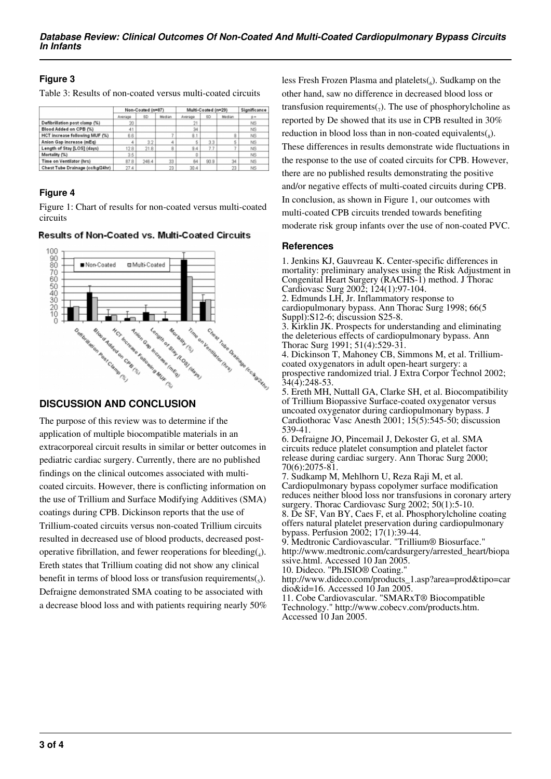## **Figure 3**

Table 3: Results of non-coated versus multi-coated circuits

|                                  | Non-Coated (n=87) |           |        | Multi-Coated (n=29) |      |        | Significance   |
|----------------------------------|-------------------|-----------|--------|---------------------|------|--------|----------------|
|                                  | Average           | <b>SD</b> | Madian | Average             | SD   | Median | p=             |
| Defibrillation post clamp (%)    | 20                |           |        |                     |      |        | N <sub>S</sub> |
| Blood Added on CPB (%)           | 41                |           |        | 34                  |      |        | NS             |
| HCT increase following MUF (%)   | 6.6               |           |        | 8.1                 |      | 8      | <b>NS</b>      |
| Anion Gap increase (mEq)         | 4                 | 3.2       | 4      |                     | 3.3  | 5      | N <sub>S</sub> |
| Length of Stay [LOS] (days)      | 12.8              | 21.8      | Ĥ      | 9.4                 | 7.7  |        | <b>NS</b>      |
| Mortality (%)                    | 3.5               |           |        |                     |      |        | <b>NS</b>      |
| Time on Ventilator (hrs)         | 87.8              | 246.4     | 33     | 64                  | 90.9 | 34     | N <sub>S</sub> |
| Chest Tube Drainage (ccikg/24hr) | 27.4              |           | 23     | 30.4                |      | 23     | <b>NS</b>      |

#### **Figure 4**

Figure 1: Chart of results for non-coated versus multi-coated circuits



#### **Results of Non-Coated vs. Multi-Coated Circuits**

# **DISCUSSION AND CONCLUSION**

The purpose of this review was to determine if the application of multiple biocompatible materials in an extracorporeal circuit results in similar or better outcomes in pediatric cardiac surgery. Currently, there are no published findings on the clinical outcomes associated with multicoated circuits. However, there is conflicting information on the use of Trillium and Surface Modifying Additives (SMA) coatings during CPB. Dickinson reports that the use of Trillium-coated circuits versus non-coated Trillium circuits resulted in decreased use of blood products, decreased postoperative fibrillation, and fewer reoperations for bleeding $(_{4})$ . Ereth states that Trillium coating did not show any clinical benefit in terms of blood loss or transfusion requirements $(s)$ . Defraigne demonstrated SMA coating to be associated with a decrease blood loss and with patients requiring nearly 50%

less Fresh Frozen Plasma and platelets $(_{6})$ . Sudkamp on the other hand, saw no difference in decreased blood loss or transfusion requirements $(7)$ . The use of phosphorylcholine as reported by De showed that its use in CPB resulted in 30% reduction in blood loss than in non-coated equivalents $(s)$ . These differences in results demonstrate wide fluctuations in the response to the use of coated circuits for CPB. However, there are no published results demonstrating the positive and/or negative effects of multi-coated circuits during CPB. In conclusion, as shown in Figure 1, our outcomes with multi-coated CPB circuits trended towards benefiting moderate risk group infants over the use of non-coated PVC.

#### **References**

1. Jenkins KJ, Gauvreau K. Center-specific differences in mortality: preliminary analyses using the Risk Adjustment in Congenital Heart Surgery (RACHS-1) method. J Thorac Cardiovasc Surg 2002; 124(1):97-104.

2. Edmunds LH, Jr. Inflammatory response to cardiopulmonary bypass. Ann Thorac Surg 1998; 66(5 Suppl):S12-6; discussion S25-8.

3. Kirklin JK. Prospects for understanding and eliminating the deleterious effects of cardiopulmonary bypass. Ann Thorac Surg 1991; 51(4):529-31.

4. Dickinson T, Mahoney CB, Simmons M, et al. Trilliumcoated oxygenators in adult open-heart surgery: a prospective randomized trial. J Extra Corpor Technol 2002; 34(4):248-53.

5. Ereth MH, Nuttall GA, Clarke SH, et al. Biocompatibility of Trillium Biopassive Surface-coated oxygenator versus uncoated oxygenator during cardiopulmonary bypass. J Cardiothorac Vasc Anesth 2001; 15(5):545-50; discussion 539-41.

6. Defraigne JO, Pincemail J, Dekoster G, et al. SMA circuits reduce platelet consumption and platelet factor release during cardiac surgery. Ann Thorac Surg 2000; 70(6):2075-81.

7. Sudkamp M, Mehlhorn U, Reza Raji M, et al. Cardiopulmonary bypass copolymer surface modification reduces neither blood loss nor transfusions in coronary artery surgery. Thorac Cardiovasc Surg 2002; 50(1):5-10. 8. De SF, Van BY, Caes F, et al. Phosphorylcholine coating offers natural platelet preservation during cardiopulmonary bypass. Perfusion 2002; 17(1):39-44.

9. Medtronic Cardiovascular. "Trillium® Biosurface." http://www.medtronic.com/cardsurgery/arrested\_heart/biopa ssive.html. Accessed 10 Jan 2005.

10. Dideco. "Ph.ISIO® Coating."

http://www.dideco.com/products\_1.asp?area=prod&tipo=car dio&id=16. Accessed 10 Jan 2005.

11. Cobe Cardiovascular. "SMARxT® Biocompatible Technology." http://www.cobecv.com/products.htm. Accessed 10 Jan 2005.